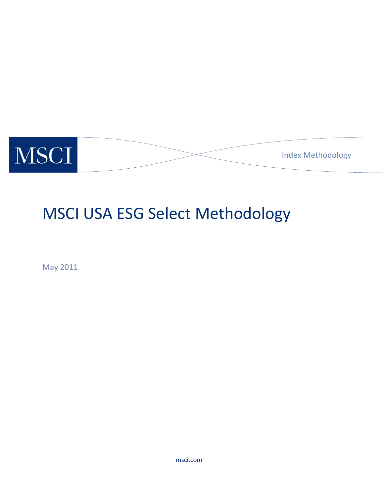

# MSCI USA ESG Select Methodology

May 2011

msci.com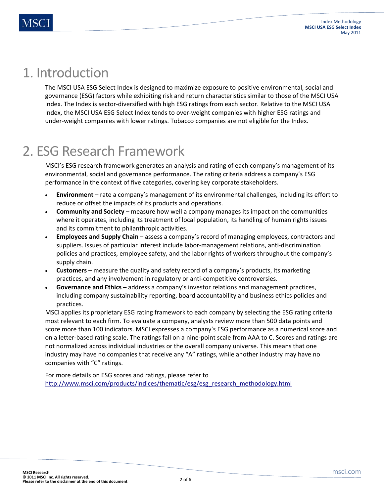### 1. Introduction

The MSCI USA ESG Select Index is designed to maximize exposure to positive environmental, social and governance (ESG) factors while exhibiting risk and return characteristics similar to those of the MSCI USA Index. The Index is sector-diversified with high ESG ratings from each sector. Relative to the MSCI USA Index, the MSCI USA ESG Select Index tends to over-weight companies with higher ESG ratings and under-weight companies with lower ratings. Tobacco companies are not eligible for the Index.

### 2. ESG Research Framework

MSCI's ESG research framework generates an analysis and rating of each company's management of its environmental, social and governance performance. The rating criteria address a company's ESG performance in the context of five categories, covering key corporate stakeholders.

- **Environment**  rate a company's management of its environmental challenges, including its effort to reduce or offset the impacts of its products and operations.
- **Community and Society** measure how well a company manages its impact on the communities where it operates, including its treatment of local population, its handling of human rights issues and its commitment to philanthropic activities.
- **Employees and Supply Chain** assess a company's record of managing employees, contractors and suppliers. Issues of particular interest include labor-management relations, anti-discrimination policies and practices, employee safety, and the labor rights of workers throughout the company's supply chain.
- **Customers** measure the quality and safety record of a company's products, its marketing practices, and any involvement in regulatory or anti-competitive controversies.
- **Governance and Ethics** address a company's investor relations and management practices, including company sustainability reporting, board accountability and business ethics policies and practices.

MSCI applies its proprietary ESG rating framework to each company by selecting the ESG rating criteria most relevant to each firm. To evaluate a company, analysts review more than 500 data points and score more than 100 indicators. MSCI expresses a company's ESG performance as a numerical score and on a letter-based rating scale. The ratings fall on a nine-point scale from AAA to C. Scores and ratings are not normalized across individual industries or the overall company universe. This means that one industry may have no companies that receive any "A" ratings, while another industry may have no companies with "C" ratings.

For more details on ESG scores and ratings, please refer to http://www.msci.com/products/indices/thematic/esg/esg\_research\_methodology.html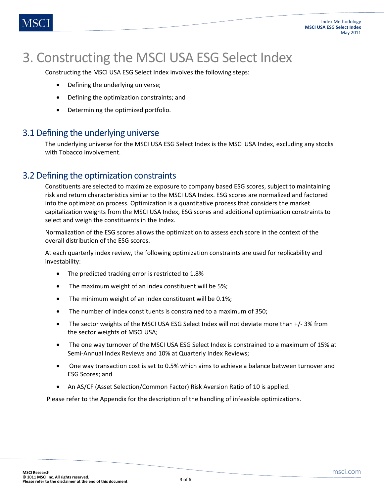## 3. Constructing the MSCI USA ESG Select Index

Constructing the MSCI USA ESG Select Index involves the following steps:

- Defining the underlying universe;
- Defining the optimization constraints; and
- Determining the optimized portfolio.

#### 3.1 Defining the underlying universe

The underlying universe for the MSCI USA ESG Select Index is the MSCI USA Index, excluding any stocks with Tobacco involvement.

#### 3.2 Defining the optimization constraints

Constituents are selected to maximize exposure to company based ESG scores, subject to maintaining risk and return characteristics similar to the MSCI USA Index. ESG scores are normalized and factored into the optimization process. Optimization is a quantitative process that considers the market capitalization weights from the MSCI USA Index, ESG scores and additional optimization constraints to select and weigh the constituents in the Index.

Normalization of the ESG scores allows the optimization to assess each score in the context of the overall distribution of the ESG scores.

At each quarterly index review, the following optimization constraints are used for replicability and investability:

- The predicted tracking error is restricted to 1.8%
- The maximum weight of an index constituent will be 5%;
- The minimum weight of an index constituent will be 0.1%;
- The number of index constituents is constrained to a maximum of 350;
- The sector weights of the MSCI USA ESG Select Index will not deviate more than +/-3% from the sector weights of MSCI USA;
- The one way turnover of the MSCI USA ESG Select Index is constrained to a maximum of 15% at Semi-Annual Index Reviews and 10% at Quarterly Index Reviews;
- One way transaction cost is set to 0.5% which aims to achieve a balance between turnover and ESG Scores; and
- An AS/CF (Asset Selection/Common Factor) Risk Aversion Ratio of 10 is applied.

Please refer to the Appendix for the description of the handling of infeasible optimizations.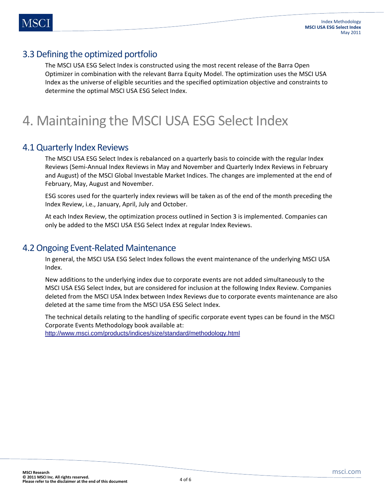### 3.3 Defining the optimized portfolio

The MSCI USA ESG Select Index is constructed using the most recent release of the Barra Open Optimizer in combination with the relevant Barra Equity Model. The optimization uses the MSCI USA Index as the universe of eligible securities and the specified optimization objective and constraints to determine the optimal MSCI USA ESG Select Index.

### 4. Maintaining the MSCI USA ESG Select Index

#### 4.1 Quarterly Index Reviews

The MSCI USA ESG Select Index is rebalanced on a quarterly basis to coincide with the regular Index Reviews (Semi-Annual Index Reviews in May and November and Quarterly Index Reviews in February and August) of the MSCI Global Investable Market Indices. The changes are implemented at the end of February, May, August and November.

ESG scores used for the quarterly index reviews will be taken as of the end of the month preceding the Index Review, i.e., January, April, July and October.

At each Index Review, the optimization process outlined in Section 3 is implemented. Companies can only be added to the MSCI USA ESG Select Index at regular Index Reviews.

#### 4.2 Ongoing Event-Related Maintenance

In general, the MSCI USA ESG Select Index follows the event maintenance of the underlying MSCI USA Index.

New additions to the underlying index due to corporate events are not added simultaneously to the MSCI USA ESG Select Index, but are considered for inclusion at the following Index Review. Companies deleted from the MSCI USA Index between Index Reviews due to corporate events maintenance are also deleted at the same time from the MSCI USA ESG Select Index.

The technical details relating to the handling of specific corporate event types can be found in the MSCI Corporate Events Methodology book available at: http://www.msci.com/products/indices/size/standard/methodology.html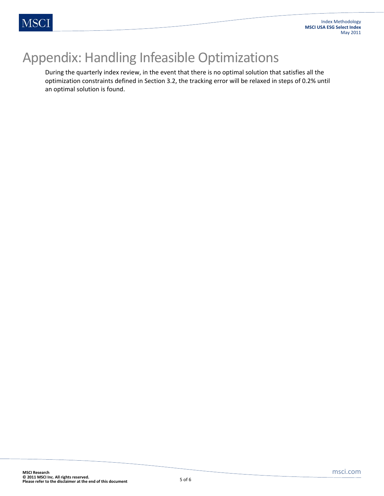### Appendix: Handling Infeasible Optimizations

During the quarterly index review, in the event that there is no optimal solution that satisfies all the optimization constraints defined in Section 3.2, the tracking error will be relaxed in steps of 0.2% until an optimal solution is found.